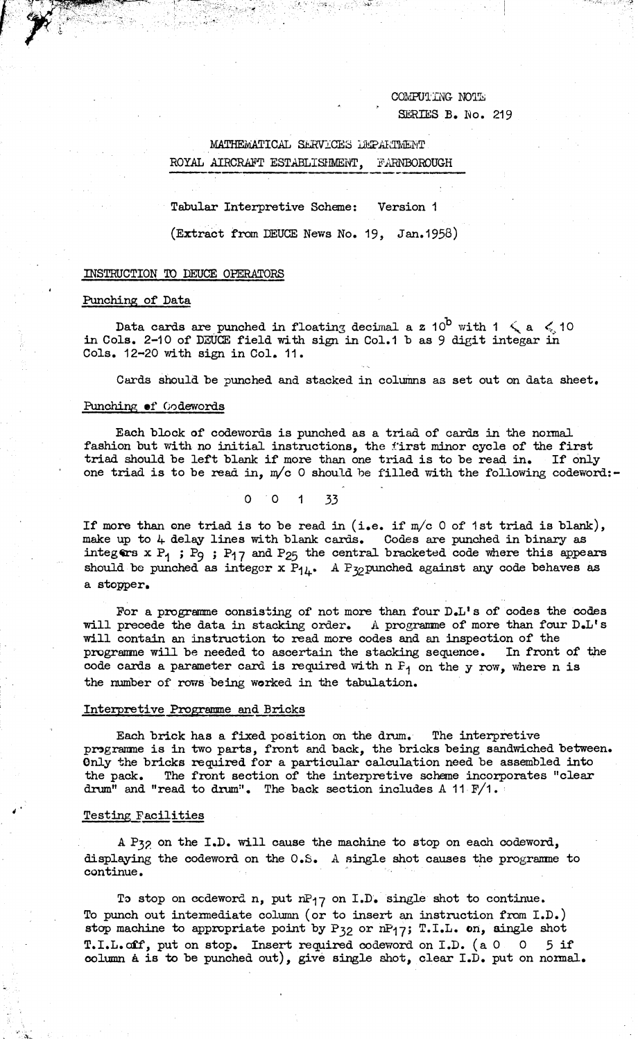COMPUTING NOTE SERIES B. No. 219

# MATHEMATICAL SERVICES DEPARTMENT ROYAL AIRCRAFT ESTABLISHMENT, FARNBOROUGH

*■ \**

Tabular Interpretive Scheme: Version <sup>1</sup>

(Extract from DEUCE News No. 19, Jan. 1958)

#### INSTRUCTION TO DEUCE OPERATORS

#### Punching of Data

Data cards are punched in floating decimal a z 10<sup>b</sup> with 1  $\leqslant$  a  $\leqslant$  10 in Cols. 2-10 of DEUCE field with sign in Col.1 b as <sup>9</sup> digit integar in Cols. 12-20 with sign in Col. 11.

Cards should he punched and stacked in columns as set out on data sheet.

### Punching of Codewords

Each block of codewords is punched as a triad of cards in the normal fashion but with no initial instructions, the first minor cycle of the first triad should he left blank if more than one triad is to he read in. If only one triad is to be read in, m/c 0 should be filled with the following codeword:-

0 0 <sup>1</sup> 33

If more than one triad is to be read in (i.e. if  $m/c$  0 of 1st triad is blank), make up to 4 delay lines with blank cards. Codes are punched in binary as integers  $x P_1$ ;  $P_9$ ;  $P_{17}$  and  $P_{25}$  the central bracketed code where this appears should be punched as integer x  $P_{1\mu}$ . A P<sub>32</sub> punched against any code behaves as a stopper.

For a programme consisting of not more than four D.L's of codes the codes will precede the data in stacking order. A programme of more than four D.L's will contain an instruction to read more codes and an inspection of the programme will he needed to ascertain the stacking sequence. In front of the code cards a parameter card is required with  $n F_1$  on the y row, where n is the number of rows being worked in the tabulation.

#### Interpretive Programme and Bricks

Each brick has a fixed position on the drum. The interpretive programme is in two parts, front and back, the bricks being sandwiched between. Only the bricks required for a particular calculation need be assembled into the pack. The front section of the interpretive scheme incorporates "clear drum" and "read to drum". The back section includes <sup>A</sup> <sup>11</sup> P∕1.

### Testing Facilities

A P32 on the I.D. will cause the machine to stop on each codeword, displaying the codeword on the 0.S. <sup>A</sup> single shot causes the programme to continue.

To stop on codeword n, put nP<sub>17</sub> on I.D. single shot to continue. To punch out intermediate column (or to insert an instruction from I.D.) stop machine to appropriate point by P<sub>32</sub> or nP<sub>17</sub>; T.I.L. on, single shot T.I.L.off, put on stop. Insert required codeword on I.D. (a <sup>0</sup> <sup>0</sup> <sup>5</sup> if column a is to be punched out), give single shot, clear I.D. put on normal.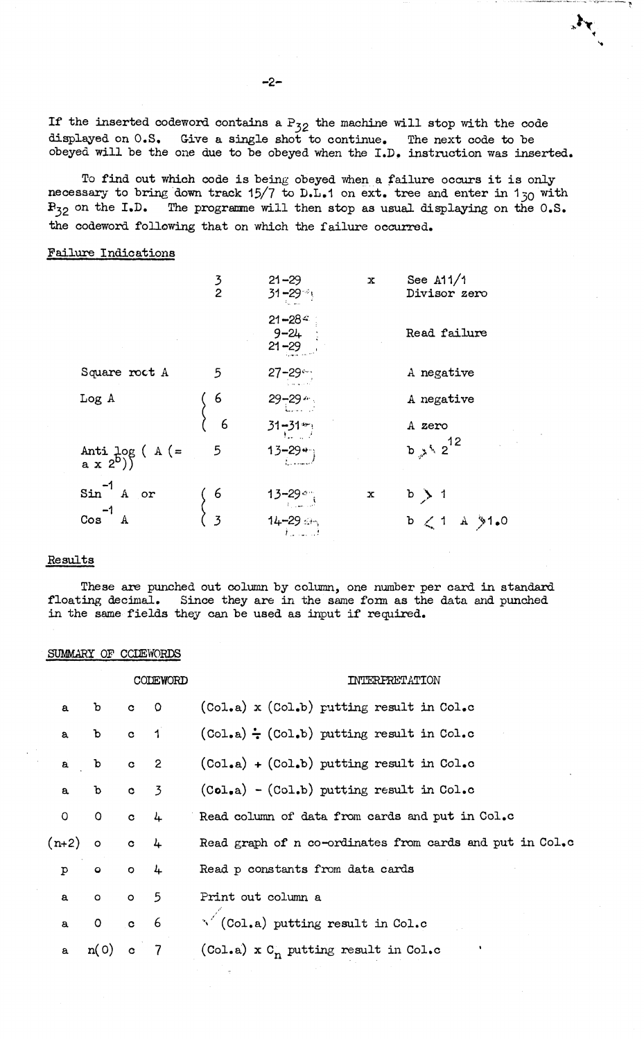If the inserted codeword contains a  $P_{32}$  the machine will stop with the code displayed on 0.S, Give a single shot to continue. The next code to he obeyed will be the one due to be obeyed when the I.D. instruction was inserted.

 $\mathbf{y}_{i}$ 

To find out which code is being obeyed when <sup>a</sup> failure occurs it is only necessary to bring down track 15/7 to D.L.1 on  $ext{.}$  tree and enter in 1<sub>30</sub> with  $F_{32}$  on the I.D. The programme will then stop as usual displaying on the 0.S. the codeword following that on which the failure occurred.

## Failure Indications

|                                                             | $\frac{3}{2}$  | $21 - 29$<br>$31 - 29$ <sup>1</sup> | x | See $A11/1$<br>Divisor zero |
|-------------------------------------------------------------|----------------|-------------------------------------|---|-----------------------------|
|                                                             |                | $21 - 28$<br>$9 - 24$<br>21-29      |   | Read failure                |
| Square roct A                                               | 5              | $27 - 29$                           |   | A negative                  |
| Log A                                                       | 6              | $29 - 29$ $\frac{1}{2}$             |   | A negative                  |
|                                                             | 6              | $31 - 31$                           |   | A zero                      |
| Anti log ( A $(=\begin{pmatrix} a & x & 2^b \end{pmatrix})$ | 5              | $13 - 29 +$                         |   | $b \nightharpoondown b^2$   |
| $sin^{-1}$ A or                                             | 6              | $13 - 29$                           | x | b > 1                       |
| $\cos^{-1}$ A                                               | $\overline{3}$ | $14 - 29$<br>$\mathcal{A}$ , and    |   | $b \leq 1$ A $91.0$         |

### Results

These are punched out column by column, one number per card in standard floating decimal. Since they are in the same form as the data and punched in the same fields they can be used as input if required.

### SUMMARY OF CCLEWORDS

|              |                   | CODEWORD     |                | FERFRET ATTON                                            |  |  |
|--------------|-------------------|--------------|----------------|----------------------------------------------------------|--|--|
| $\mathbf{a}$ | $\mathbf{b}$      | $c \t 0$     |                | (Col.a) x (Col.b) putting result in Col.c                |  |  |
| a            | $\mathbf b$       | $\mathbf{c}$ | $\overline{1}$ | $(Co1.a) - (Col.b)$ putting result in Col.c              |  |  |
| $\mathbf{a}$ | b c 2             |              |                | $(Co1_ea) + (Col_e b)$ putting result in $Col_eo$        |  |  |
|              | a b c 3           |              |                | $(Co1, a) - (Col.b)$ putting result in Col.c             |  |  |
|              | $0$ 0 $c$ 4       |              |                | Read column of data from cards and put in Col.c          |  |  |
|              | $(n+2)$ o c 4     |              |                | Read graph of n co-ordinates from cards and put in Col.c |  |  |
| $\mathbf{p}$ | $\circ$ $\circ$ 4 |              |                | Read p constants from data cards                         |  |  |
| $\mathbf{a}$ | $0$ 0 5           |              |                | Print out column a                                       |  |  |
| $\mathbf{a}$ | $0$ $c$ 6         |              |                | $\sqrt{\text{ (Col.a)}}$ putting result in Col.c         |  |  |
| $\mathbf{a}$ | n(0)              | $\mathbf{c}$ | $\overline{7}$ | (Col.a) x $C_n$ putting result in Col.c                  |  |  |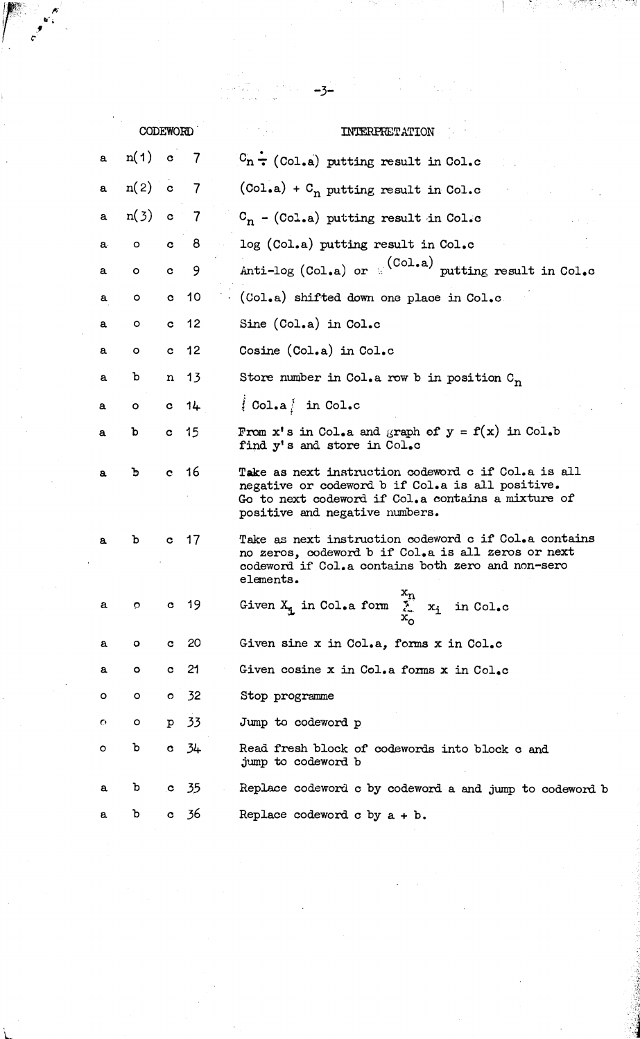|    |            |              |                 | $-3-$                                                                                                                                                                                           |
|----|------------|--------------|-----------------|-------------------------------------------------------------------------------------------------------------------------------------------------------------------------------------------------|
|    | CODEWORD   |              |                 | INTERPRETATION                                                                                                                                                                                  |
| a  | $n(1)$ c   |              | 7               | $C_n$ $\div$ (Col.a) putting result in Col.c                                                                                                                                                    |
| a  | $n(2)$ c 7 |              |                 | $(Col.a) + Cn$ putting result in Col.c                                                                                                                                                          |
| a  | $n(3)$ c 7 |              |                 | $C_n - (Col.a)$ putting result in Col.c                                                                                                                                                         |
| a. | $\circ$    | $\mathbf{c}$ | - 8             | log (Col.a) putting result in Col.c                                                                                                                                                             |
| a  | $\circ$    | $\mathbf c$  | 9               | Anti-log (Col.a) or $(Co1.a)$ putting result in Col.c                                                                                                                                           |
| a  | о          | $\mathbf{c}$ | 10              | (Col.a) shifted down one place in Col.c.                                                                                                                                                        |
| a  | о          | $\mathbf{c}$ | 12              | Sine (Col.a) in Col.c                                                                                                                                                                           |
| a  | o          | $\mathbf{c}$ | 12              | Cosine (Col.a) in Col.c                                                                                                                                                                         |
| a  | ъ          | $\mathbf{n}$ | 13              | Store number in Col.a row b in position $C_n$                                                                                                                                                   |
| a  | o          |              | $c$ $14$        | $\{Col.a\}$ in $Col.c$                                                                                                                                                                          |
| a  | b          | $\mathbf{c}$ | 15              | From $x'$ s in Col.a and graph of $y = f(x)$ in Col.b<br>find y's and store in Col.c                                                                                                            |
| a. | ъ          |              | c <sub>16</sub> | Take as next instruction codeword c if Col.a is all<br>negative or codeword b if Col.a is all positive.<br>Go to next codeword if Col.a contains a mixture of<br>positive and negative numbers. |
| a  | b          | c.           | 17              | Take as next instruction codeword c if Col.a contains<br>no zeros, codeword b if Col.a is all zeros or next<br>codeword if Col.a contains both zero and non-sero<br>elements.                   |
| a  | Ō.         |              | $c$ 19          | Given $X_i$ in Col.a form $\sum_{X_i}^{X_n} x_i$ in Col.c                                                                                                                                       |
| a  | ۰          | $\mathbf{c}$ | 20              | Given sine x in Col.a, forms x in Col.c                                                                                                                                                         |
| a  | ۰          | $\mathbf{c}$ | 21              | Given cosine x in Col.a forms x in Col.c                                                                                                                                                        |
| о  | о          |              | 0 <sub>2</sub>  | Stop programme                                                                                                                                                                                  |
| O  | o          | $\mathbf{p}$ | - 33            | Jump to codeword p                                                                                                                                                                              |
| O  | ъ          | $\mathbf{c}$ | 34              | Read fresh block of codewords into block c and<br>jump to codeword b                                                                                                                            |
| a  | b          | $\mathbf{c}$ | 35              | Replace codeword c by codeword a and jump to codeword b                                                                                                                                         |
| a. | ъ          | C            | 36              | Replace codeword $c$ by $a + b$ .                                                                                                                                                               |

a de la construcción de la construcción de la construcción de la construcción de la construcción de la construc<br>En 1930, el construcción de la construcción de la construcción de la construcción de la construcción de la con

 $\mathcal{A}_{\mathcal{A}}$ 

enting partition of the second property of the second property of the second property of the second property o<br>Second property of the second property of the second property of the second property of the second property of

 $\int_{0}^{\infty}$